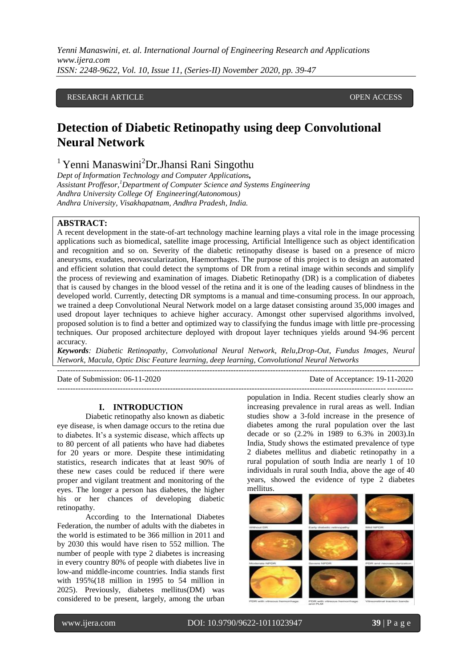*Yenni Manaswini, et. al. International Journal of Engineering Research and Applications www.ijera.com ISSN: 2248-9622, Vol. 10, Issue 11, (Series-II) November 2020, pp. 39-47*

## RESEARCH ARTICLE **CONTRACT ARTICLE**

# **Detection of Diabetic Retinopathy using deep Convolutional Neural Network**

<sup>1</sup> Yenni Manaswini<sup>2</sup>Dr.Jhansi Rani Singothu

*Dept of Information Technology and Computer Applications, Assistant Proffesor,<sup>1</sup>Department of Computer Science and Systems Engineering Andhra University College Of Engineering(Autonomous) Andhra University, Visakhapatnam, Andhra Pradesh, India.*

## **ABSTRACT:**

A recent development in the state-of-art technology machine learning plays a vital role in the image processing applications such as biomedical, satellite image processing, Artificial Intelligence such as object identification and recognition and so on. Severity of the diabetic retinopathy disease is based on a presence of micro aneurysms, exudates, neovascularization, Haemorrhages. The purpose of this project is to design an automated and efficient solution that could detect the symptoms of DR from a retinal image within seconds and simplify the process of reviewing and examination of images. Diabetic Retinopathy (DR) is a complication of diabetes that is caused by changes in the blood vessel of the retina and it is one of the leading causes of blindness in the developed world. Currently, detecting DR symptoms is a manual and time-consuming process. In our approach, we trained a deep Convolutional Neural Network model on a large dataset consisting around 35,000 images and used dropout layer techniques to achieve higher accuracy. Amongst other supervised algorithms involved, proposed solution is to find a better and optimized way to classifying the fundus image with little pre-processing techniques. Our proposed architecture deployed with dropout layer techniques yields around 94-96 percent accuracy.

*Keywords: Diabetic Retinopathy, Convolutional Neural Network, Relu,Drop-Out, Fundus Images, Neural Network, Macula, Optic Disc Feature learning, deep learning, Convolutional Neural Networks*

---------------------------------------------------------------------------------------------------------------------------------------

---------------------------------------------------------------------------------------------------------------------------------------

Date of Submission: 06-11-2020 Date of Acceptance: 19-11-2020

#### **I. INTRODUCTION**

Diabetic retinopathy also known as diabetic eye disease, is when damage occurs to the retina due to diabetes. It's a systemic disease, which affects up to 80 percent of all patients who have had diabetes for 20 years or more. Despite these intimidating statistics, research indicates that at least 90% of these new cases could be reduced if there were proper and vigilant treatment and monitoring of the eyes. The longer a person has diabetes, the higher his or her chances of developing diabetic retinopathy.

According to the International Diabetes Federation, the number of adults with the diabetes in the world is estimated to be 366 million in 2011 and by 2030 this would have risen to 552 million. The number of people with type 2 diabetes is increasing in every country 80% of people with diabetes live in low-and middle-income countries. India stands first with 195%(18 million in 1995 to 54 million in 2025). Previously, diabetes mellitus(DM) was considered to be present, largely, among the urban population in India. Recent studies clearly show an increasing prevalence in rural areas as well. Indian studies show a 3-fold increase in the presence of diabetes among the rural population over the last decade or so (2.2% in 1989 to 6.3% in 2003).In India, Study shows the estimated prevalence of type 2 diabetes mellitus and diabetic retinopathy in a rural population of south India are nearly 1 of 10 individuals in rural south India, above the age of 40 years, showed the evidence of type 2 diabetes mellitus.



www.ijera.com DOI: 10.9790/9622-1011023947 **39** | P a g e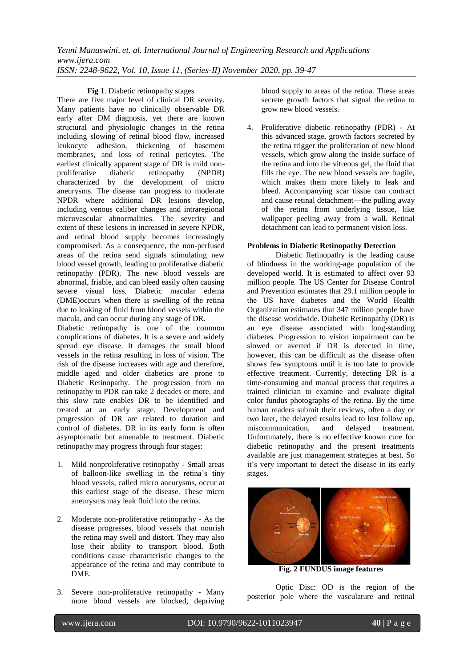*Yenni Manaswini, et. al. International Journal of Engineering Research and Applications www.ijera.com ISSN: 2248-9622, Vol. 10, Issue 11, (Series-II) November 2020, pp. 39-47*

**Fig 1**. Diabetic retinopathy stages

There are five major level of clinical DR severity. Many patients have no clinically observable DR early after DM diagnosis, yet there are known structural and physiologic changes in the retina including slowing of retinal blood flow, increased leukocyte adhesion, thickening of basement membranes, and loss of retinal pericytes. The earliest clinically apparent stage of DR is mild nonproliferative diabetic retinopathy (NPDR) characterized by the development of micro aneurysms. The disease can progress to moderate NPDR where additional DR lesions develop, including venous caliber changes and intraregional microvascular abnormalities. The severity and extent of these lesions in increased in severe NPDR, and retinal blood supply becomes increasingly compromised. As a consequence, the non-perfused areas of the retina send signals stimulating new blood vessel growth, leading to proliferative diabetic retinopathy (PDR). The new blood vessels are abnormal, friable, and can bleed easily often causing severe visual loss. Diabetic macular edema (DME)occurs when there is swelling of the retina due to leaking of fluid from blood vessels within the macula, and can occur during any stage of DR.

Diabetic retinopathy is one of the common complications of diabetes. It is a severe and widely spread eye disease. It damages the small blood vessels in the retina resulting in loss of vision. The risk of the disease increases with age and therefore, middle aged and older diabetics are prone to Diabetic Retinopathy. The progression from no retinopathy to PDR can take 2 decades or more, and this slow rate enables DR to be identified and treated at an early stage. Development and progression of DR are related to duration and control of diabetes. DR in its early form is often asymptomatic but amenable to treatment. Diabetic retinopathy may progress through four stages:

- 1. Mild nonproliferative retinopathy Small areas of balloon-like swelling in the retina's tiny blood vessels, called micro aneurysms, occur at this earliest stage of the disease. These micro aneurysms may leak fluid into the retina.
- 2. Moderate non-proliferative retinopathy As the disease progresses, blood vessels that nourish the retina may swell and distort. They may also lose their ability to transport blood. Both conditions cause characteristic changes to the appearance of the retina and may contribute to DME.
- 3. Severe non-proliferative retinopathy Many more blood vessels are blocked, depriving

blood supply to areas of the retina. These areas secrete growth factors that signal the retina to grow new blood vessels.

4. Proliferative diabetic retinopathy (PDR) - At this advanced stage, growth factors secreted by the retina trigger the proliferation of new blood vessels, which grow along the inside surface of the retina and into the vitreous gel, the fluid that fills the eye. The new blood vessels are fragile, which makes them more likely to leak and bleed. Accompanying scar tissue can contract and cause retinal detachment—the pulling away of the retina from underlying tissue, like wallpaper peeling away from a wall. Retinal detachment can lead to permanent vision loss.

## **Problems in Diabetic Retinopathy Detection**

Diabetic Retinopathy is the leading cause of blindness in the working-age population of the developed world. It is estimated to affect over 93 million people. The US Center for Disease Control and Prevention estimates that 29.1 million people in the US have diabetes and the World Health Organization estimates that 347 million people have the disease worldwide. Diabetic Retinopathy (DR) is an eye disease associated with long-standing diabetes. Progression to vision impairment can be slowed or averted if DR is detected in time, however, this can be difficult as the disease often shows few symptoms until it is too late to provide effective treatment. Currently, detecting DR is a time-consuming and manual process that requires a trained clinician to examine and evaluate digital color fundus photographs of the retina. By the time human readers submit their reviews, often a day or two later, the delayed results lead to lost follow up, miscommunication, and delayed treatment. Unfortunately, there is no effective known cure for diabetic retinopathy and the present treatments available are just management strategies at best. So it's very important to detect the disease in its early stages.



**Fig. 2 FUNDUS image features**

Optic Disc: OD is the region of the posterior pole where the vasculature and retinal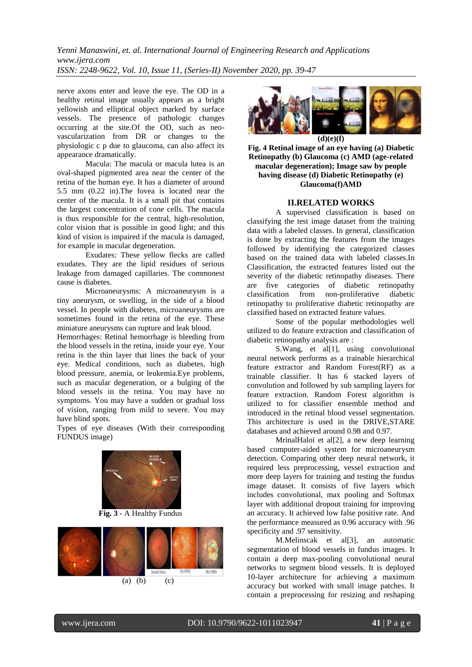*Yenni Manaswini, et. al. International Journal of Engineering Research and Applications www.ijera.com ISSN: 2248-9622, Vol. 10, Issue 11, (Series-II) November 2020, pp. 39-47*

nerve axons enter and leave the eye. The OD in a healthy retinal image usually appears as a bright yellowish and elliptical object marked by surface vessels. The presence of pathologic changes occurring at the site.Of the OD, such as neovascularization from DR or changes to the physiologic c p due to glaucoma, can also affect its appearance dramatically.

Macula: The macula or macula lutea is an oval-shaped pigmented area near the center of the retina of the human eye. It has a diameter of around 5.5 mm (0.22 in).The fovea is located near the center of the macula. It is a small pit that contains the largest concentration of cone cells. The macula is thus responsible for the central, high-resolution, color vision that is possible in good light; and this kind of vision is impaired if the macula is damaged, for example in macular degeneration.

Exudates: These yellow flecks are called exudates. They are the lipid residues of serious leakage from damaged capillaries. The commonest cause is diabetes.

Microaneurysms: A microaneurysm is a tiny aneurysm, or swelling, in the side of a blood vessel. In people with diabetes, microaneurysms are sometimes found in the retina of the eye. These miniature aneurysms can rupture and leak blood.

Hemorrhages: Retinal hemorrhage is bleeding from the blood vessels in the retina, inside your eye. Your retina is the thin layer that lines the back of your eye. Medical conditions, such as diabetes, high blood pressure, anemia, or leukemia.Eye problems, such as macular degeneration, or a bulging of the blood vessels in the retina. You may have no symptoms. You may have a sudden or gradual loss of vision, ranging from mild to severe. You may have blind spots.

Types of eye diseases (With their corresponding FUNDUS image)



**Fig. 3 -** A Healthy Fundus





**Fig. 4 Retinal image of an eye having (a) Diabetic Retinopathy (b) Glaucoma (c) AMD (age-related macular degeneration); Image saw by people having disease (d) Diabetic Retinopathy (e) Glaucoma(f)AMD**

### **II.RELATED WORKS**

A supervised classification is based on classifying the test image dataset from the training data with a labeled classes. In general, classification is done by extracting the features from the images followed by identifying the categorized classes based on the trained data with labeled classes.In Classification, the extracted features listed out the severity of the diabetic retinopathy diseases. There are five categories of diabetic retinopathy classification from non-proliferative diabetic retinopathy to proliferative diabetic retinopathy are classified based on extracted feature values.

Some of the popular methodologies well utilized to do feature extraction and classification of diabetic retinopathy analysis are :

S. Wang, et al<sup>[1]</sup>, using convolutional neural network performs as a trainable hierarchical feature extractor and Random Forest(RF) as a trainable classifier. It has 6 stacked layers of convolution and followed by sub sampling layers for feature extraction. Random Forest algorithm is utilized to for classifier ensemble method and introduced in the retinal blood vessel segmentation. This architecture is used in the DRIVE,STARE databases and achieved around 0.98 and 0.97.

MrinalHaloi et al[2], a new deep learning based computer-aided system for microaneurysm detection. Comparing other deep neural network, it required less preprocessing, vessel extraction and more deep layers for training and testing the fundus image dataset. It consists of five layers which includes convolutional, max pooling and Softmax layer with additional dropout training for improving an accuracy. It achieved low false positive rate. And the performance measured as 0.96 accuracy with .96 specificity and .97 sensitivity.

M.Melinscak et al[3], an automatic segmentation of blood vessels in fundus images. It contain a deep max-pooling convolutional neural networks to segment blood vessels. It is deployed 10-layer architecture for achieving a maximum accuracy but worked with small image patches. It contain a preprocessing for resizing and reshaping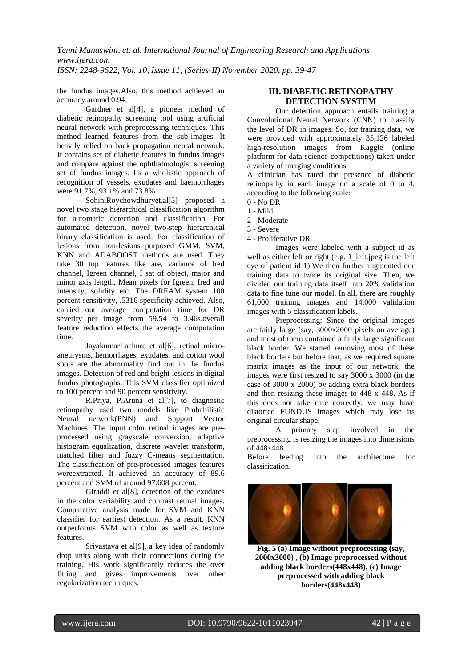the fundus images.Also, this method achieved an accuracy around 0.94.

Gardner et al<sup>[4]</sup>, a pioneer method of diabetic retinopathy screening tool using artificial neural network with preprocessing techniques. This method learned features from the sub-images. It heavily relied on back propagation neural network. It contains set of diabetic features in fundus images and compare against the ophthalmologist screening set of fundus images. Its a wholistic approach of recognition of vessels, exudates and haemorrhages were 91.7%, 93.1% and 73.8%.

SohiniRoychowdhuryet.al[5] proposed a novel two stage hierarchical classification algorithm for automatic detection and classification. For automated detection, novel two-step hierarchical binary classification is used. For classification of lesions from non-lesions purposed GMM, SVM, KNN and ADABOOST methods are used. They take 30 top features like are, variance of Ired channel, Igreen channel, I sat of object, major and minor axis length, Mean pixels for Igreen, Ired and intensity, solidity etc. The DREAM system 100 percent sensitivity, .5316 specificity achieved. Also, carried out average computation time for DR severity per image from 59.54 to 3.46s.overall feature reduction effects the average computation time.

JayakumarLachure et al[6], retinal microaneurysms, hemorrhages, exudates, and cotton wool spots are the abnormality find out in the fundus images. Detection of red and bright lesions in digital fundus photographs. This SVM classifier optimized to 100 percent and 90 percent sensitivity.

R.Priya, P.Aruna et al[7], to diagnostic retinopathy used two models like Probabilistic Neural network(PNN) and Support Vector Machines. The input color retinal images are preprocessed using grayscale conversion, adaptive histogram equalization, discrete wavelet transform, matched filter and fuzzy C-means segmentation. The classification of pre-processed images features wereextracted. It achieved an accuracy of 89.6 percent and SVM of around 97.608 percent.

Giraddi et all<sup>81</sup>, detection of the exudates in the color variability and contrast retinal images. Comparative analysis made for SVM and KNN classifier for earliest detection. As a result, KNN outperforms SVM with color as well as texture features.

Srivastava et al[9], a key idea of randomly drop units along with their connections during the training. His work significantly reduces the over fitting and gives improvements over other regularization techniques.

## **III. DIABETIC RETINOPATHY DETECTION SYSTEM**

Our detection approach entails training a Convolutional Neural Network (CNN) to classify the level of DR in images. So, for training data, we were provided with approximately 35,126 labeled high-resolution images from Kaggle (online platform for data science competitions) taken under a variety of imaging conditions.

A clinician has rated the presence of diabetic retinopathy in each image on a scale of 0 to 4, according to the following scale:

- 0 No DR
- 1 Mild
- 2 Moderate
- 3 Severe
- 4 Proliferative DR

Images were labeled with a subject id as well as either left or right (e.g. 1\_left.jpeg is the left eye of patient id 1).We then further augmented our training data to twice its original size. Then, we divided our training data itself into 20% validation data to fine tune our model. In all, there are roughly 61,000 training images and 14,000 validation images with 5 classification labels.

Preprocessing: Since the original images are fairly large (say, 3000x2000 pixels on average) and most of them contained a fairly large significant black border. We started removing most of these black borders but before that, as we required square matrix images as the input of our network, the images were first resized to say 3000 x 3000 (in the case of 3000 x 2000) by adding extra black borders and then resizing these images to 448 x 448. As if this does not take care correctly, we may have distorted FUNDUS images which may lose its original circular shape.

A primary step involved in the preprocessing is resizing the images into dimensions of 448x448.

Before feeding into the architecture for classification.



**Fig. 5 (a) Image without preprocessing (say, 2000x3000) , (b) Image preprocessed without adding black borders(448x448), (c) Image preprocessed with adding black borders(448x448)**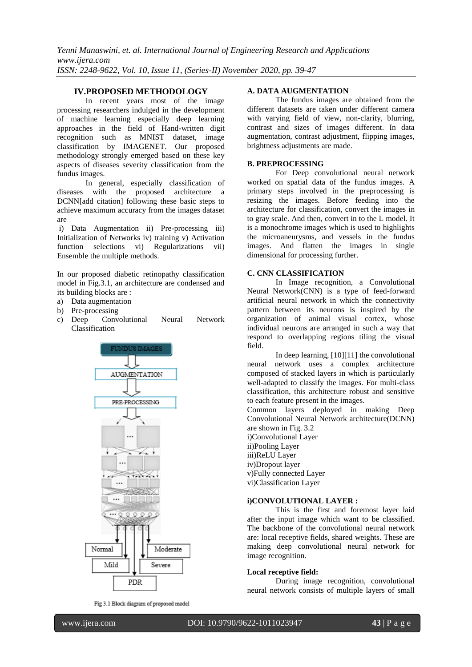## **IV.PROPOSED METHODOLOGY**

In recent years most of the image processing researchers indulged in the development of machine learning especially deep learning approaches in the field of Hand-written digit recognition such as MNIST dataset, image classification by IMAGENET. Our proposed methodology strongly emerged based on these key aspects of diseases severity classification from the fundus images.

In general, especially classification of diseases with the proposed architecture a DCNN[add citation] following these basic steps to achieve maximum accuracy from the images dataset are

i) Data Augmentation ii) Pre-processing iii) Initialization of Networks iv) training v) Activation function selections vi) Regularizations vii) Ensemble the multiple methods.

In our proposed diabetic retinopathy classification model in Fig.3.1, an architecture are condensed and its building blocks are :

- a) Data augmentation
- b) Pre-processing
- c) Deep Convolutional Neural Network Classification



Fig 3.1 Block diagram of proposed model

## **A. DATA AUGMENTATION**

The fundus images are obtained from the different datasets are taken under different camera with varying field of view, non-clarity, blurring, contrast and sizes of images different. In data augmentation, contrast adjustment, flipping images, brightness adjustments are made.

### **B. PREPROCESSING**

For Deep convolutional neural network worked on spatial data of the fundus images. A primary steps involved in the preprocessing is resizing the images. Before feeding into the architecture for classification, convert the images in to gray scale. And then, convert in to the L model. It is a monochrome images which is used to highlights the microaneurysms, and vessels in the fundus images. And flatten the images in single dimensional for processing further.

#### **C. CNN CLASSIFICATION**

In Image recognition, a Convolutional Neural Network(CNN) is a type of feed-forward artificial neural network in which the connectivity pattern between its neurons is inspired by the organization of animal visual cortex, whose individual neurons are arranged in such a way that respond to overlapping regions tiling the visual field.

In deep learning, [10][11] the convolutional neural network uses a complex architecture composed of stacked layers in which is particularly well-adapted to classify the images. For multi-class classification, this architecture robust and sensitive to each feature present in the images.

Common layers deployed in making Deep Convolutional Neural Network architecture(DCNN) are shown in Fig. 3.2 i)Convolutional Layer

- ii)Pooling Layer iii)ReLU Layer iv)Dropout layer v)Fully connected Layer
- vi)Classification Layer

## **i)CONVOLUTIONAL LAYER :**

This is the first and foremost layer laid after the input image which want to be classified. The backbone of the convolutional neural network are: local receptive fields, shared weights. These are making deep convolutional neural network for image recognition.

## **Local receptive field:**

During image recognition, convolutional neural network consists of multiple layers of small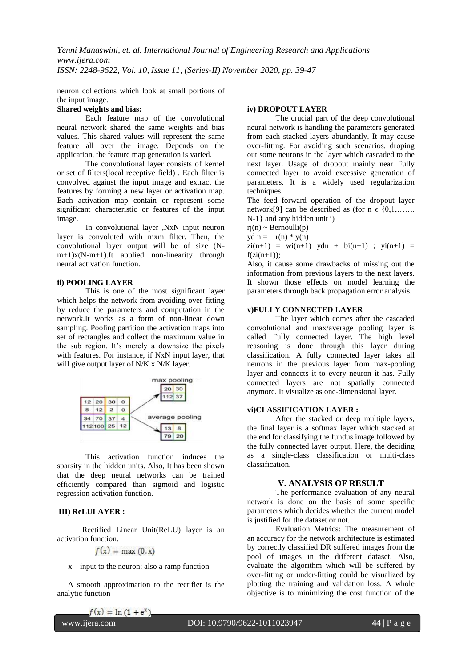neuron collections which look at small portions of the input image.

#### **Shared weights and bias:**

Each feature map of the convolutional neural network shared the same weights and bias values. This shared values will represent the same feature all over the image. Depends on the application, the feature map generation is varied.

The convolutional layer consists of kernel or set of filters(local receptive field) . Each filter is convolved against the input image and extract the features by forming a new layer or activation map. Each activation map contain or represent some significant characteristic or features of the input image.

In convolutional layer ,NxN input neuron layer is convoluted with mxm filter. Then, the convolutional layer output will be of size (Nm+1)x(N-m+1).It applied non-linearity through neural activation function.

### **ii) POOLING LAYER**

This is one of the most significant layer which helps the network from avoiding over-fitting by reduce the parameters and computation in the network.It works as a form of non-linear down sampling. Pooling partition the activation maps into set of rectangles and collect the maximum value in the sub region. It's merely a downsize the pixels with features. For instance, if NxN input layer, that will give output layer of N/K x N/K layer.



This activation function induces the sparsity in the hidden units. Also, It has been shown that the deep neural networks can be trained efficiently compared than sigmoid and logistic regression activation function.

## **III) ReLULAYER :**

Rectified Linear Unit(ReLU) layer is an activation function.

$$
f(x) = \max(0, x)
$$

 $x$  – input to the neuron; also a ramp function

A smooth approximation to the rectifier is the analytic function

## **iv) DROPOUT LAYER**

The crucial part of the deep convolutional neural network is handling the parameters generated from each stacked layers abundantly. It may cause over-fitting. For avoiding such scenarios, droping out some neurons in the layer which cascaded to the next layer. Usage of dropout mainly near Fully connected layer to avoid excessive generation of parameters. It is a widely used regularization techniques.

The feed forward operation of the dropout layer network[9] can be described as (for  $n \in \{0,1,\ldots\}$ ) N-1} and any hidden unit i)

 $ri(n) \sim Bernoulli(p)$ 

 $yd \, n = r(n) * y(n)$ 

 $zi(n+1) = wi(n+1)$  ydn +  $bi(n+1)$ ;  $yi(n+1) =$  $f(zi(n+1))$ ;

Also, it cause some drawbacks of missing out the information from previous layers to the next layers. It shown those effects on model learning the parameters through back propagation error analysis.

## **v)FULLY CONNECTED LAYER**

The layer which comes after the cascaded convolutional and max/average pooling layer is called Fully connected layer. The high level reasoning is done through this layer during classification. A fully connected layer takes all neurons in the previous layer from max-pooling layer and connects it to every neuron it has. Fully connected layers are not spatially connected anymore. It visualize as one-dimensional layer.

#### **vi)CLASSIFICATION LAYER :**

After the stacked or deep multiple layers, the final layer is a softmax layer which stacked at the end for classifying the fundus image followed by the fully connected layer output. Here, the deciding as a single-class classification or multi-class classification.

## **V. ANALYSIS OF RESULT**

The performance evaluation of any neural network is done on the basis of some specific parameters which decides whether the current model is justified for the dataset or not.

Evaluation Metrics: The measurement of an accuracy for the network architecture is estimated by correctly classified DR suffered images from the pool of images in the different dataset. Also, evaluate the algorithm which will be suffered by over-fitting or under-fitting could be visualized by plotting the training and validation loss. A whole objective is to minimizing the cost function of the

 $f(x) = \ln(1 + e^x)$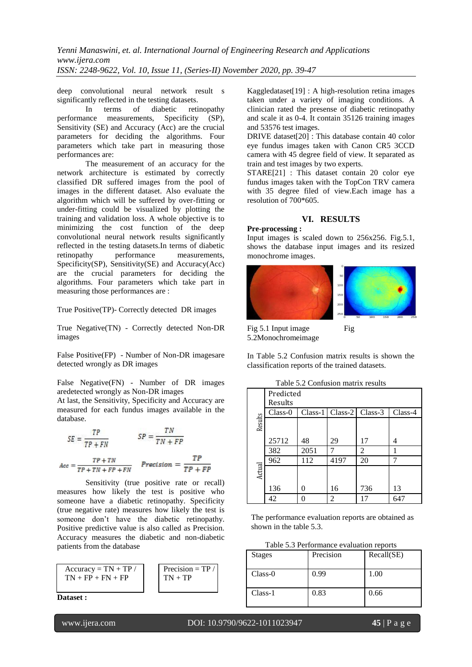deep convolutional neural network result s significantly reflected in the testing datasets.

In terms of diabetic retinopathy performance measurements, Specificity (SP), Sensitivity (SE) and Accuracy (Acc) are the crucial parameters for deciding the algorithms. Four parameters which take part in measuring those performances are:

The measurement of an accuracy for the network architecture is estimated by correctly classified DR suffered images from the pool of images in the different dataset. Also evaluate the algorithm which will be suffered by over-fitting or under-fitting could be visualized by plotting the training and validation loss. A whole objective is to minimizing the cost function of the deep convolutional neural network results significantly reflected in the testing datasets.In terms of diabetic retinopathy performance measurements, Specificity(SP), Sensitivity(SE) and Accuracy(Acc) are the crucial parameters for deciding the algorithms. Four parameters which take part in measuring those performances are :

True Positive(TP)- Correctly detected DR images

True Negative(TN) - Correctly detected Non-DR images

False Positive(FP) - Number of Non-DR imagesare detected wrongly as DR images

False Negative(FN) - Number of DR images aredetected wrongly as Non-DR images

At last, the Sensitivity, Specificity and Accuracy are measured for each fundus images available in the database.

$$
SE = \frac{TP}{TP + FN}
$$
  

$$
S = \frac{TN}{TN + FP}
$$
  

$$
Acc = \frac{TP + TN}{TP + TN + FP + FN}
$$
  

$$
Precision = \frac{TP}{TP + FP}
$$

Sensitivity (true positive rate or recall) measures how likely the test is positive who someone have a diabetic retinopathy. Specificity (true negative rate) measures how likely the test is someone don't have the diabetic retinopathy. Positive predictive value is also called as Precision. Accuracy measures the diabetic and non-diabetic patients from the database



**Dataset :**

Kaggledataset[19] : A high-resolution retina images taken under a variety of imaging conditions. A clinician rated the presense of diabetic retinopathy and scale it as 0-4. It contain 35126 training images and 53576 test images.

DRIVE dataset[20] : This database contain 40 color eye fundus images taken with Canon CR5 3CCD camera with 45 degree field of view. It separated as train and test images by two experts.

STARE[21] : This dataset contain 20 color eye fundus images taken with the TopCon TRV camera with 35 degree filed of view.Each image has a resolution of 700\*605.

## **VI. RESULTS**

#### **Pre-processing :**

Input images is scaled down to 256x256. Fig.5.1, shows the database input images and its resized monochrome images.



Fig 5.1 Input image Fig 5.2Monochromeimage

In Table 5.2 Confusion matrix results is shown the classification reports of the trained datasets.

| Table 5.2 Confusion matrix results |           |      |                               |                             |         |  |  |  |
|------------------------------------|-----------|------|-------------------------------|-----------------------------|---------|--|--|--|
|                                    | Predicted |      |                               |                             |         |  |  |  |
|                                    | Results   |      |                               |                             |         |  |  |  |
|                                    | Class-0   |      | $Class-1   Class-2   Class-3$ |                             | Class-4 |  |  |  |
| Results                            |           |      |                               |                             |         |  |  |  |
|                                    | 25712     | 48   | 29                            | 17                          | 4       |  |  |  |
|                                    | 382       | 2051 |                               | $\mathcal{D}_{\mathcal{L}}$ |         |  |  |  |
|                                    | 962       | 112  | 4197                          | 20                          |         |  |  |  |
| Actual                             |           |      |                               |                             |         |  |  |  |
|                                    | 136       | 0    | 16                            | 736                         | 13      |  |  |  |
|                                    | 42        |      | $\overline{2}$                | 17                          | 647     |  |  |  |

The performance evaluation reports are obtained as shown in the table 5.3.

|  |  |  |  | Table 5.3 Performance evaluation reports |  |  |
|--|--|--|--|------------------------------------------|--|--|
|--|--|--|--|------------------------------------------|--|--|

| <b>Stages</b> | Precision | Recall(SE) |
|---------------|-----------|------------|
| $Class-0$     | 0.99      | 1.00       |
| $Class-1$     | 0.83      | 0.66       |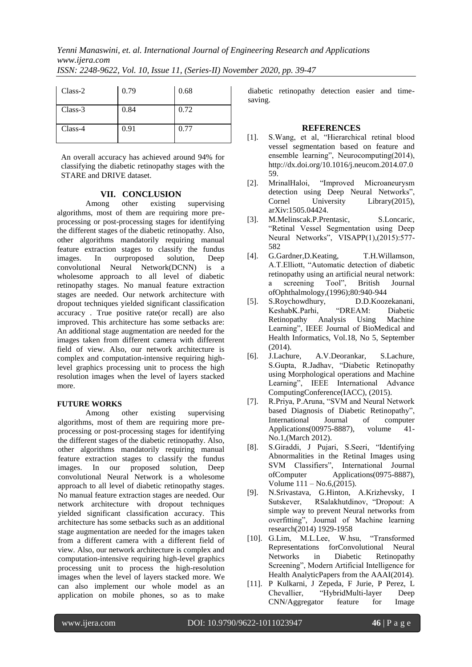*Yenni Manaswini, et. al. International Journal of Engineering Research and Applications www.ijera.com*

|  | ISSN: 2248-9622, Vol. 10, Issue 11, (Series-II) November 2020, pp. 39-47 |  |  |  |  |  |  |  |  |  |
|--|--------------------------------------------------------------------------|--|--|--|--|--|--|--|--|--|
|--|--------------------------------------------------------------------------|--|--|--|--|--|--|--|--|--|

| Class-2 | 0.79 | 0.68 |
|---------|------|------|
| Class-3 | 0.84 | 0.72 |
| Class-4 | 0.91 | 0.77 |

An overall accuracy has achieved around 94% for classifying the diabetic retinopathy stages with the STARE and DRIVE dataset.

## **VII. CONCLUSION**

Among other existing supervising algorithms, most of them are requiring more preprocessing or post-processing stages for identifying the different stages of the diabetic retinopathy. Also, other algorithms mandatorily requiring manual feature extraction stages to classify the fundus images. In ourproposed solution, Deep convolutional Neural Network(DCNN) is a wholesome approach to all level of diabetic retinopathy stages. No manual feature extraction stages are needed. Our network architecture with dropout techniques yielded significant classification accuracy . True positive rate(or recall) are also improved. This architecture has some setbacks are: An additional stage augmentation are needed for the images taken from different camera with different field of view. Also, our network architecture is complex and computation-intensive requiring highlevel graphics processing unit to process the high resolution images when the level of layers stacked more.

## **FUTURE WORKS**

Among other existing supervising algorithms, most of them are requiring more preprocessing or post-processing stages for identifying the different stages of the diabetic retinopathy. Also, other algorithms mandatorily requiring manual feature extraction stages to classify the fundus images. In our proposed solution, Deep convolutional Neural Network is a wholesome approach to all level of diabetic retinopathy stages. No manual feature extraction stages are needed. Our network architecture with dropout techniques yielded significant classification accuracy. This architecture has some setbacks such as an additional stage augmentation are needed for the images taken from a different camera with a different field of view. Also, our network architecture is complex and computation-intensive requiring high-level graphics processing unit to process the high-resolution images when the level of layers stacked more. We can also implement our whole model as an application on mobile phones, so as to make diabetic retinopathy detection easier and timesaving.

## **REFERENCES**

- [1]. S. Wang, et al, "Hierarchical retinal blood vessel segmentation based on feature and ensemble learning", Neurocomputing(2014), http://dx.doi.org/10.1016/j.neucom.2014.07.0 59.
- [2]. MrinalHaloi, "Improved Microaneurysm detection using Deep Neural Networks", Cornel University Library(2015), arXiv:1505.04424.
- [3]. M.Melinscak.P.Prentasic, S.Loncaric, ―Retinal Vessel Segmentation using Deep Neural Networks", VISAPP(1),(2015):577-582
- [4]. G.Gardner,D.Keating, T.H.Willamson, A.T. Elliott. "Automatic detection of diabetic retinopathy using an artificial neural network: a screening Tool", British Journal ofOphthalmology,(1996);80:940-944
- [5]. S.Roychowdhury, D.D.Koozekanani,<br>KeshabK.Parhi, "DREAM: Diabetic KeshabK.Parhi, "DREAM: Diabetic Retinopathy Analysis Using Machine Learning", IEEE Journal of BioMedical and Health Informatics, Vol.18, No 5, September (2014).
- [6]. J.Lachure, A.V.Deorankar, S.Lachure, S.Gupta, R.Jadhav, "Diabetic Retinopathy using Morphological operations and Machine Learning", IEEE International Advance ComputingConference(IACC), (2015).
- [7]. R.Priya, P.Aruna, "SVM and Neural Network based Diagnosis of Diabetic Retinopathy", International Journal of computer Applications(00975-8887), volume 41- No.1,(March 2012).
- [8]. S.Giraddi, J Pujari, S.Seeri, "Identifying Abnormalities in the Retinal Images using SVM Classifiers", International Journal ofComputer Applications(0975-8887), Volume 111 – No.6,(2015).
- [9]. N.Srivastava, G.Hinton, A.Krizhevsky, I Sutskever, RSalakhutdinov, "Dropout: A simple way to prevent Neural networks from overfitting", Journal of Machine learning research(2014) 1929-1958
- [10]. G.Lim, M.L.Lee, W.hsu, "Transformed Representations forConvolutional Neural Networks in Diabetic Retinopathy Screening", Modern Artificial Intelligence for Health AnalyticPapers from the AAAI(2014).
- [11]. P Kulkarni, J Zepeda, F Jurie, P Perez, L Chevallier, "HybridMulti-layer Deep CNN/Aggregator feature for Image